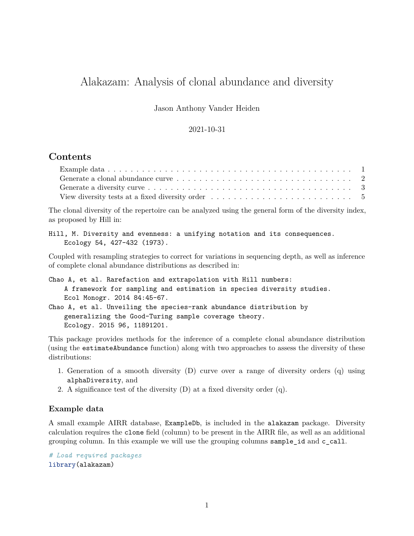# Alakazam: Analysis of clonal abundance and diversity

Jason Anthony Vander Heiden

#### 2021-10-31

## **Contents**

| View diversity tests at a fixed diversity order $\ldots \ldots \ldots \ldots \ldots \ldots \ldots \ldots \ldots$ |  |
|------------------------------------------------------------------------------------------------------------------|--|

The clonal diversity of the repertoire can be analyzed using the general form of the diversity index, as proposed by Hill in:

```
Hill, M. Diversity and evenness: a unifying notation and its consequences.
   Ecology 54, 427-432 (1973).
```
Coupled with resampling strategies to correct for variations in sequencing depth, as well as inference of complete clonal abundance distributions as described in:

```
Chao A, et al. Rarefaction and extrapolation with Hill numbers:
    A framework for sampling and estimation in species diversity studies.
   Ecol Monogr. 2014 84:45-67.
Chao A, et al. Unveiling the species-rank abundance distribution by
```

```
generalizing the Good-Turing sample coverage theory.
Ecology. 2015 96, 11891201.
```
This package provides methods for the inference of a complete clonal abundance distribution (using the estimateAbundance function) along with two approaches to assess the diversity of these distributions:

- 1. Generation of a smooth diversity (D) curve over a range of diversity orders (q) using alphaDiversity, and
- 2. A significance test of the diversity (D) at a fixed diversity order (q).

#### <span id="page-0-0"></span>**Example data**

A small example AIRR database, ExampleDb, is included in the alakazam package. Diversity calculation requires the clone field (column) to be present in the AIRR file, as well as an additional grouping column. In this example we will use the grouping columns sample\_id and c\_call.

*# Load required packages* library(alakazam)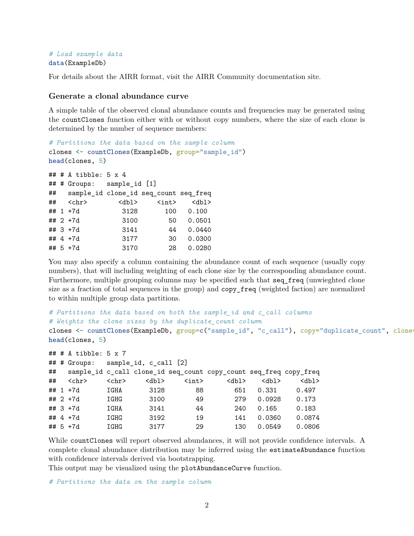#### *# Load example data* data(ExampleDb)

For details about the AIRR format, visit the [AIRR Community documentation site.](https://docs.airr-community.org/en/stable/datarep/rearrangements.html)

#### <span id="page-1-0"></span>**Generate a clonal abundance curve**

A simple table of the observed clonal abundance counts and frequencies may be generated using the countClones function either with or without copy numbers, where the size of each clone is determined by the number of sequence members:

```
# Partitions the data based on the sample column
clones <- countClones(ExampleDb, group="sample_id")
head(clones, 5)
## # A tibble: 5 x 4
## # Groups: sample_id [1]
## sample_id clone_id seq_count seq_freq
## <chr> <dbl> <int> <dbl>
## 1 +7d 3128 100 0.100
## 2 +7d 3100 50 0.0501
## 3 +7d 3141 44 0.0440
## 4 +7d 3177 30 0.0300
## 5 +7d 3170 28 0.0280
```
You may also specify a column containing the abundance count of each sequence (usually copy numbers), that will including weighting of each clone size by the corresponding abundance count. Furthermore, multiple grouping columns may be specified such that seq freq (unwieghted clone size as a fraction of total sequences in the group) and copy\_freq (weighted faction) are normalized to within multiple group data partitions.

```
# Partitions the data based on both the sample_id and c_call columns
# Weights the clone sizes by the duplicate_count column
clones <- countClones(ExampleDb, group=c("sample_id", "c_call"), copy="duplicate_count", clone=
head(clones, 5)
```

```
## # A tibble: 5 x 7
## # Groups: sample_id, c_call [2]
## sample_id c_call clone_id seq_count copy_count seq_freq copy_freq
## <chr> <chr> <dbl> <int> <dbl> <dbl> <dbl>
## 1 +7d IGHA 3128 88 651 0.331 0.497
## 2 +7d IGHG 3100 49 279 0.0928 0.173
## 3 +7d IGHA 3141 44 240 0.165 0.183
## 4 +7d IGHG 3192 19 141 0.0360 0.0874
## 5 +7d IGHG 3177 29 130 0.0549 0.0806
```
While countClones will report observed abundances, it will not provide confidence intervals. A complete clonal abundance distribution may be inferred using the estimateAbundance function with confidence intervals derived via bootstrapping.

This output may be visualized using the plotAbundanceCurve function.

*# Partitions the data on the sample column*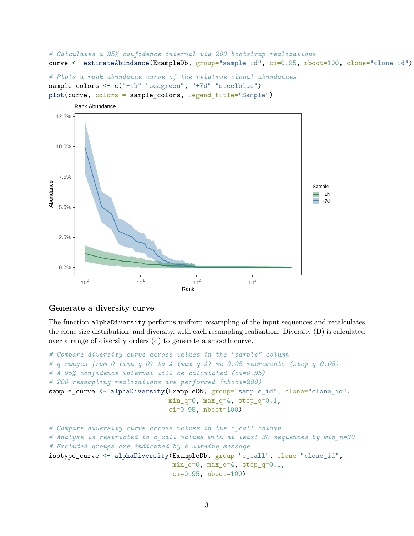*# Calculates a 95% confidence interval via 200 bootstrap realizations* curve <- estimateAbundance(ExampleDb, group="sample\_id", ci=0.95, nboot=100, clone="clone\_id")

```
# Plots a rank abundance curve of the relative clonal abundances
sample_colors <- c("-1h"="seagreen", "+7d"="steelblue")
plot(curve, colors = sample_colors, legend_title="Sample")
```


#### <span id="page-2-0"></span>**Generate a diversity curve**

The function alphaDiversity performs uniform resampling of the input sequences and recalculates the clone size distribution, and diversity, with each resampling realization. Diversity (D) is calculated over a range of diversity orders (q) to generate a smooth curve.

```
# Compare diversity curve across values in the "sample" column
# q ranges from 0 (min_q=0) to 4 (max_q=4) in 0.05 increments (step_q=0.05)
# A 95% confidence interval will be calculated (ci=0.95)
# 200 resampling realizations are performed (nboot=200)
sample_curve <- alphaDiversity(ExampleDb, group="sample_id", clone="clone_id",
                               min_q=0, max_q=4, step_q=0.1,
                               ci=0.95, nboot=100)
# Compare diversity curve across values in the c_call column
# Analyse is restricted to c_call values with at least 30 sequences by min_n=30
# Excluded groups are indicated by a warning message
isotype_curve <- alphaDiversity(ExampleDb, group="c_call", clone="clone_id",
                                min_q=0, max_q=4, step_q=0.1,
                                ci=0.95, nboot=100)
```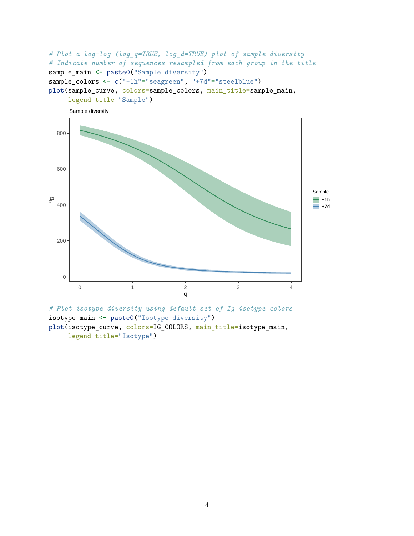```
# Plot a log-log (log_q=TRUE, log_d=TRUE) plot of sample diversity
# Indicate number of sequences resampled from each group in the title
sample_main <- paste0("Sample diversity")
sample_colors <- c("-1h"="seagreen", "+7d"="steelblue")
plot(sample_curve, colors=sample_colors, main_title=sample_main,
     legend_title="Sample")
```


*# Plot isotype diversity using default set of Ig isotype colors* isotype\_main <- paste0("Isotype diversity") plot(isotype\_curve, colors=IG\_COLORS, main\_title=isotype\_main, legend\_title="Isotype")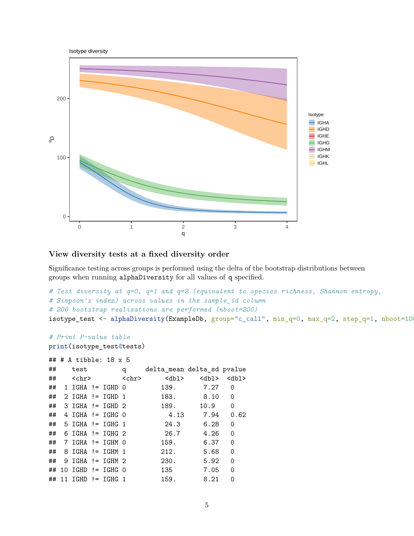

### <span id="page-4-0"></span>**View diversity tests at a fixed diversity order**

Significance testing across groups is performed using the delta of the bootstrap distributions between groups when running alphaDiversity for all values of q specified.

```
# Test diversity at q=0, q=1 and q=2 (equivalent to species richness, Shannon entropy,
# Simpson's index) across values in the sample_id column
# 200 bootstrap realizations are performed (nboot=200)
isotype_test <- alphaDiversity(ExampleDb, group="c_call", min_q=0, max_q=2, step_q=1, nboot=100,
```

```
# Print P-value table
print(isotype_test@tests)
```

```
## # A tibble: 18 x 5
```

| ## | test                     |  | q                     | delta mean delta sd pvalue |             |             |
|----|--------------------------|--|-----------------------|----------------------------|-------------|-------------|
| ## | <chr></chr>              |  | $\langle chr \rangle$ | <dbl></dbl>                | <dbl></dbl> | $<$ dbl $>$ |
| ## | $1$ IGHA != IGHD $0$     |  |                       | 139.                       | 7.27        | 0           |
| ## | $2$ IGHA != IGHD 1       |  |                       | 183.                       | 8.10        | 0           |
| ## | $3$ IGHA != IGHD $2$     |  |                       | 189.                       | 10.9        | 0           |
| ## | $4$ IGHA != IGHG $0$     |  |                       | 4.13                       | 7.94        | 0.62        |
|    | $\#$ # 5 IGHA != IGHG 1  |  |                       | 24.3                       | 6.28        | 0           |
|    | $\#$ # 6 IGHA != IGHG 2  |  |                       | 26.7                       | 4.26        | 0           |
|    | $\#$ # 7 IGHA != IGHM 0  |  |                       | 159.                       | 6.37        | 0           |
|    | $\#$ # 8 IGHA != IGHM 1  |  |                       | 212.                       | 5.68        | 0           |
|    | $\#$ # 9 IGHA != IGHM 2  |  |                       | 230.                       | 5.92        | 0           |
|    | $\#$ # 10 IGHD != IGHG 0 |  |                       | 135                        | 7.05        | 0           |
|    | $\#$ # 11 IGHD != IGHG 1 |  |                       | 159.                       | 8.21        | 0           |